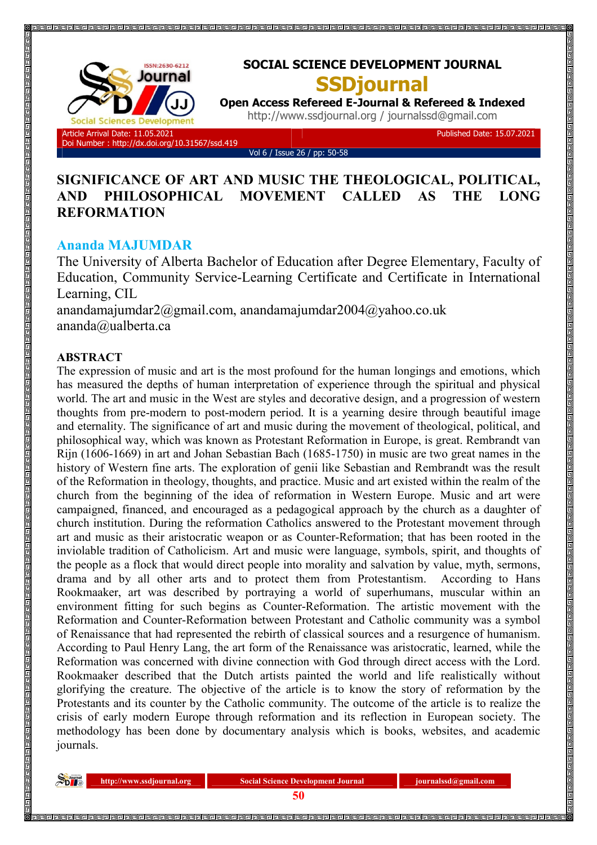

# **SOCIAL SCIENCE DEVELOPMENT JOURNAL SSDjournal**

**Open Access Refereed E-Journal & Refereed & Indexed** http://www.ssdjournal.org / journalssd@gmail.com

Doi Number : http://dx.doi.org/10.31567/ssd.419

Vol 6 / Issue 26 / pp: 50-58

Published Date: 15.07.2021

## **SIGNIFICANCE OF ART AND MUSIC THE THEOLOGICAL, POLITICAL, AND PHILOSOPHICAL MOVEMENT CALLED AS THE LONG REFORMATION**

## **Ananda MAJUMDAR**

The University of Alberta Bachelor of Education after Degree Elementary, Faculty of Education, Community Service-Learning Certificate and Certificate in International Learning, CIL

anandamajumdar2@gmail.com, anandamajumdar2004@yahoo.co.uk ananda@ualberta.ca

## **ABSTRACT**

The expression of music and art is the most profound for the human longings and emotions, which has measured the depths of human interpretation of experience through the spiritual and physical world. The art and music in the West are styles and decorative design, and a progression of western thoughts from pre-modern to post-modern period. It is a yearning desire through beautiful image and eternality. The significance of art and music during the movement of theological, political, and philosophical way, which was known as Protestant Reformation in Europe, is great. Rembrandt van Rijn (1606-1669) in art and Johan Sebastian Bach (1685-1750) in music are two great names in the history of Western fine arts. The exploration of genii like Sebastian and Rembrandt was the result of the Reformation in theology, thoughts, and practice. Music and art existed within the realm of the church from the beginning of the idea of reformation in Western Europe. Music and art were campaigned, financed, and encouraged as a pedagogical approach by the church as a daughter of church institution. During the reformation Catholics answered to the Protestant movement through art and music as their aristocratic weapon or as Counter-Reformation; that has been rooted in the inviolable tradition of Catholicism. Art and music were language, symbols, spirit, and thoughts of the people as a flock that would direct people into morality and salvation by value, myth, sermons, drama and by all other arts and to protect them from Protestantism. According to Hans Rookmaaker, art was described by portraying a world of superhumans, muscular within an environment fitting for such begins as Counter-Reformation. The artistic movement with the Reformation and Counter-Reformation between Protestant and Catholic community was a symbol of Renaissance that had represented the rebirth of classical sources and a resurgence of humanism. According to Paul Henry Lang, the art form of the Renaissance was aristocratic, learned, while the Reformation was concerned with divine connection with God through direct access with the Lord. Rookmaaker described that the Dutch artists painted the world and life realistically without glorifying the creature. The objective of the article is to know the story of reformation by the Protestants and its counter by the Catholic community. The outcome of the article is to realize the crisis of early modern Europe through reformation and its reflection in European society. The methodology has been done by documentary analysis which is books, websites, and academic journals.

**http://www.ssdjournal.org Social Science Development Journal integrational com** *integral.com* **<b>Social Science Development Journal integral integral integral.com**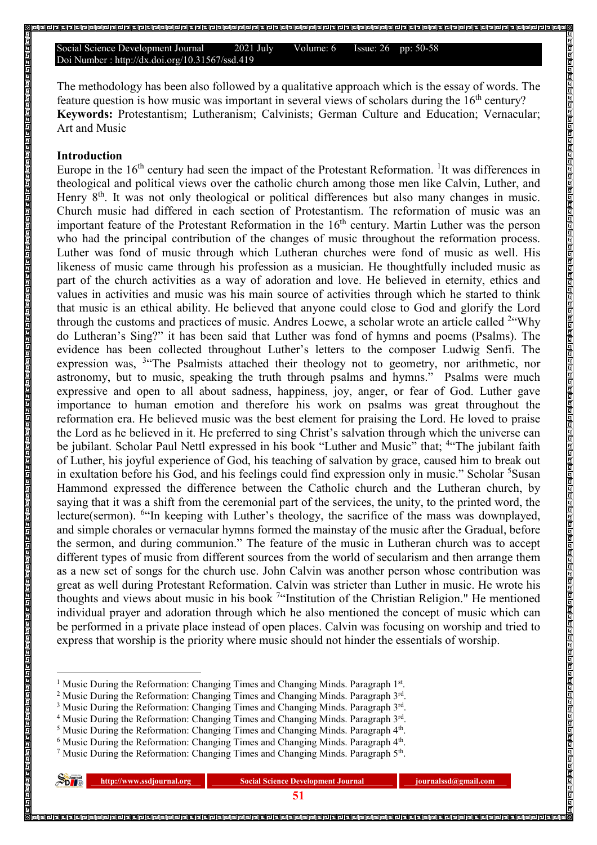The methodology has been also followed by a qualitative approach which is the essay of words. The feature question is how music was important in several views of scholars during the 16<sup>th</sup> century? **Keywords:** Protestantism; Lutheranism; Calvinists; German Culture and Education; Vernacular; Art and Music

### **Introduction**

 $\overline{a}$ 

Europe in the  $16<sup>th</sup>$  century had seen the impact of the Protestant Reformation. <sup>1</sup>It was differences in theological and political views over the catholic church among those men like Calvin, Luther, and Henry 8<sup>th</sup>. It was not only theological or political differences but also many changes in music. Church music had differed in each section of Protestantism. The reformation of music was an important feature of the Protestant Reformation in the 16<sup>th</sup> century. Martin Luther was the person who had the principal contribution of the changes of music throughout the reformation process. Luther was fond of music through which Lutheran churches were fond of music as well. His likeness of music came through his profession as a musician. He thoughtfully included music as part of the church activities as a way of adoration and love. He believed in eternity, ethics and values in activities and music was his main source of activities through which he started to think that music is an ethical ability. He believed that anyone could close to God and glorify the Lord through the customs and practices of music. Andres Loewe, a scholar wrote an article called <sup>2</sup>"Why do Lutheran's Sing?" it has been said that Luther was fond of hymns and poems (Psalms). The evidence has been collected throughout Luther's letters to the composer Ludwig Senfi. The expression was, <sup>3</sup> The Psalmists attached their theology not to geometry, nor arithmetic, nor astronomy, but to music, speaking the truth through psalms and hymns." Psalms were much expressive and open to all about sadness, happiness, joy, anger, or fear of God. Luther gave importance to human emotion and therefore his work on psalms was great throughout the reformation era. He believed music was the best element for praising the Lord. He loved to praise the Lord as he believed in it. He preferred to sing Christ's salvation through which the universe can be jubilant. Scholar Paul Nettl expressed in his book "Luther and Music" that; <sup>4</sup>"The jubilant faith of Luther, his joyful experience of God, his teaching of salvation by grace, caused him to break out in exultation before his God, and his feelings could find expression only in music." Scholar <sup>5</sup>Susan Hammond expressed the difference between the Catholic church and the Lutheran church, by saying that it was a shift from the ceremonial part of the services, the unity, to the printed word, the lecture(sermon). <sup>6</sup> In keeping with Luther's theology, the sacrifice of the mass was downplayed, and simple chorales or vernacular hymns formed the mainstay of the music after the Gradual, before the sermon, and during communion." The feature of the music in Lutheran church was to accept different types of music from different sources from the world of secularism and then arrange them as a new set of songs for the church use. John Calvin was another person whose contribution was great as well during Protestant Reformation. Calvin was stricter than Luther in music. He wrote his thoughts and views about music in his book <sup>7</sup>"Institution of the Christian Religion." He mentioned individual prayer and adoration through which he also mentioned the concept of music which can be performed in a private place instead of open places. Calvin was focusing on worship and tried to express that worship is the priority where music should not hinder the essentials of worship.

<sup>&</sup>lt;sup>7</sup> Music During the Reformation: Changing Times and Changing Minds. Paragraph 5<sup>th</sup>.

| $\sum_{\text{D}}$ | http://www.ssdjournal.org | <b>Social Science Development Journal</b> | journalssd@gmail.com |
|-------------------|---------------------------|-------------------------------------------|----------------------|
|                   |                           |                                           |                      |

<sup>1</sup> Music During the Reformation: Changing Times and Changing Minds. Paragraph 1st.

<sup>&</sup>lt;sup>2</sup> Music During the Reformation: Changing Times and Changing Minds. Paragraph 3rd.

<sup>&</sup>lt;sup>3</sup> Music During the Reformation: Changing Times and Changing Minds. Paragraph  $3<sup>rd</sup>$ .

<sup>&</sup>lt;sup>4</sup> Music During the Reformation: Changing Times and Changing Minds. Paragraph 3rd.

<sup>&</sup>lt;sup>5</sup> Music During the Reformation: Changing Times and Changing Minds. Paragraph  $4<sup>th</sup>$ .

 $6$  Music During the Reformation: Changing Times and Changing Minds. Paragraph  $4<sup>th</sup>$ .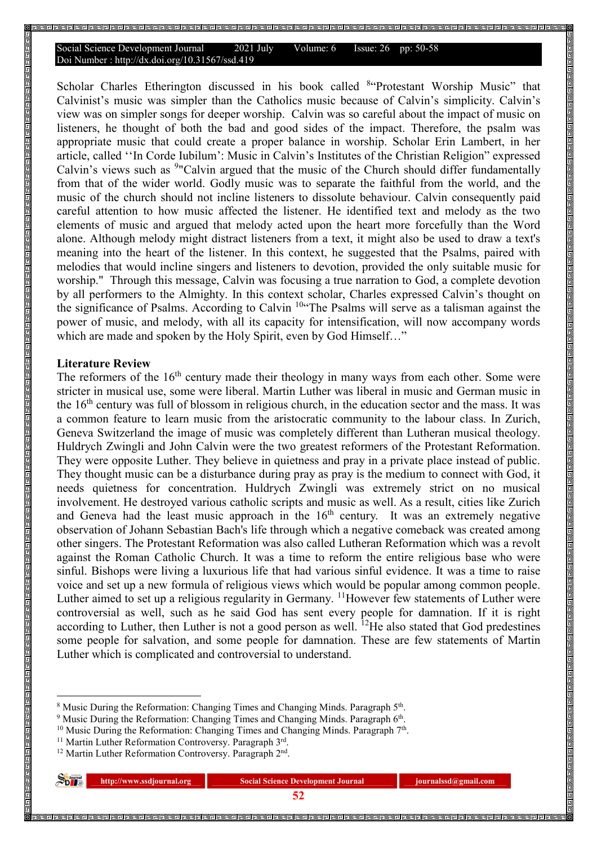Scholar Charles Etherington discussed in his book called <sup>8</sup>"Protestant Worship Music" that Calvinist's music was simpler than the Catholics music because of Calvin's simplicity. Calvin's view was on simpler songs for deeper worship. Calvin was so careful about the impact of music on listeners, he thought of both the bad and good sides of the impact. Therefore, the psalm was appropriate music that could create a proper balance in worship. Scholar Erin Lambert, in her article, called ''In Corde Iubilum': Music in Calvin's Institutes of the Christian Religion" expressed Calvin's views such as <sup>9</sup>"Calvin argued that the music of the Church should differ fundamentally from that of the wider world. Godly music was to separate the faithful from the world, and the music of the church should not incline listeners to dissolute behaviour. Calvin consequently paid careful attention to how music affected the listener. He identified text and melody as the two elements of music and argued that melody acted upon the heart more forcefully than the Word alone. Although melody might distract listeners from a text, it might also be used to draw a text's meaning into the heart of the listener. In this context, he suggested that the Psalms, paired with melodies that would incline singers and listeners to devotion, provided the only suitable music for worship." Through this message, Calvin was focusing a true narration to God, a complete devotion by all performers to the Almighty. In this context scholar, Charles expressed Calvin's thought on the significance of Psalms. According to Calvin <sup>10</sup>"The Psalms will serve as a talisman against the power of music, and melody, with all its capacity for intensification, will now accompany words which are made and spoken by the Holy Spirit, even by God Himself..."

### **Literature Review**

 $\overline{a}$ 

The reformers of the 16<sup>th</sup> century made their theology in many ways from each other. Some were stricter in musical use, some were liberal. Martin Luther was liberal in music and German music in the 16th century was full of blossom in religious church, in the education sector and the mass. It was a common feature to learn music from the aristocratic community to the labour class. In Zurich, Geneva Switzerland the image of music was completely different than Lutheran musical theology. Huldrych Zwingli and John Calvin were the two greatest reformers of the Protestant Reformation. They were opposite Luther. They believe in quietness and pray in a private place instead of public. They thought music can be a disturbance during pray as pray is the medium to connect with God, it needs quietness for concentration. Huldrych Zwingli was extremely strict on no musical involvement. He destroyed various catholic scripts and music as well. As a result, cities like Zurich and Geneva had the least music approach in the  $16<sup>th</sup>$  century. It was an extremely negative observation of Johann Sebastian Bach's life through which a negative comeback was created among other singers. The Protestant Reformation was also called Lutheran Reformation which was a revolt against the Roman Catholic Church. It was a time to reform the entire religious base who were sinful. Bishops were living a luxurious life that had various sinful evidence. It was a time to raise voice and set up a new formula of religious views which would be popular among common people. Luther aimed to set up a religious regularity in Germany. <sup>11</sup>However few statements of Luther were controversial as well, such as he said God has sent every people for damnation. If it is right according to Luther, then Luther is not a good person as well. <sup>12</sup>He also stated that God predestines some people for salvation, and some people for damnation. These are few statements of Martin Luther which is complicated and controversial to understand.

<sup>&</sup>lt;sup>12</sup> Martin Luther Reformation Controversy. Paragraph 2<sup>nd</sup>.

| $S_{D}^{\text{normal}}$ | http://www.ssdjournal.org | <b>Social Science Development Journal</b> | journalssd@gmail.com |
|-------------------------|---------------------------|-------------------------------------------|----------------------|
|                         |                           |                                           |                      |
|                         |                           |                                           |                      |

<sup>&</sup>lt;sup>8</sup> Music During the Reformation: Changing Times and Changing Minds. Paragraph 5<sup>th</sup>.

<sup>&</sup>lt;sup>9</sup> Music During the Reformation: Changing Times and Changing Minds. Paragraph 6<sup>th</sup>.

 $10$  Music During the Reformation: Changing Times and Changing Minds. Paragraph  $7<sup>th</sup>$ .

<sup>&</sup>lt;sup>11</sup> Martin Luther Reformation Controversy. Paragraph 3rd.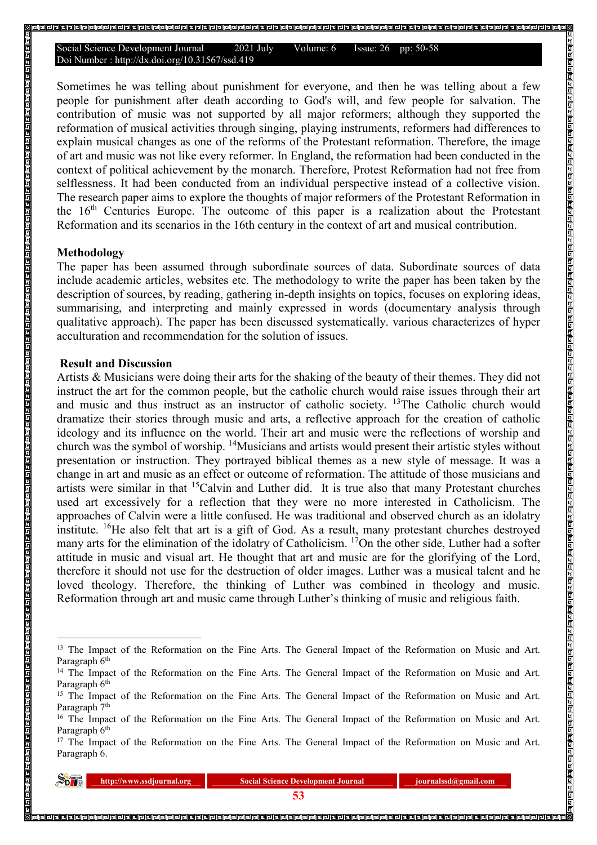Sometimes he was telling about punishment for everyone, and then he was telling about a few people for punishment after death according to God's will, and few people for salvation. The contribution of music was not supported by all major reformers; although they supported the reformation of musical activities through singing, playing instruments, reformers had differences to explain musical changes as one of the reforms of the Protestant reformation. Therefore, the image of art and music was not like every reformer. In England, the reformation had been conducted in the context of political achievement by the monarch. Therefore, Protest Reformation had not free from selflessness. It had been conducted from an individual perspective instead of a collective vision. The research paper aims to explore the thoughts of major reformers of the Protestant Reformation in the  $16<sup>th</sup>$  Centuries Europe. The outcome of this paper is a realization about the Protestant Reformation and its scenarios in the 16th century in the context of art and musical contribution.

#### **Methodology**

 $\overline{a}$ 

The paper has been assumed through subordinate sources of data. Subordinate sources of data include academic articles, websites etc. The methodology to write the paper has been taken by the description of sources, by reading, gathering in-depth insights on topics, focuses on exploring ideas, summarising, and interpreting and mainly expressed in words (documentary analysis through qualitative approach). The paper has been discussed systematically. various characterizes of hyper acculturation and recommendation for the solution of issues.

#### **Result and Discussion**

Artists & Musicians were doing their arts for the shaking of the beauty of their themes. They did not instruct the art for the common people, but the catholic church would raise issues through their art and music and thus instruct as an instructor of catholic society. <sup>13</sup>The Catholic church would dramatize their stories through music and arts, a reflective approach for the creation of catholic ideology and its influence on the world. Their art and music were the reflections of worship and church was the symbol of worship. <sup>14</sup>Musicians and artists would present their artistic styles without presentation or instruction. They portrayed biblical themes as a new style of message. It was a change in art and music as an effect or outcome of reformation. The attitude of those musicians and artists were similar in that <sup>15</sup>Calvin and Luther did. It is true also that many Protestant churches used art excessively for a reflection that they were no more interested in Catholicism. The approaches of Calvin were a little confused. He was traditional and observed church as an idolatry institute. <sup>16</sup>He also felt that art is a gift of God. As a result, many protestant churches destroyed many arts for the elimination of the idolatry of Catholicism. <sup>17</sup>On the other side, Luther had a softer attitude in music and visual art. He thought that art and music are for the glorifying of the Lord, therefore it should not use for the destruction of older images. Luther was a musical talent and he loved theology. Therefore, the thinking of Luther was combined in theology and music. Reformation through art and music came through Luther's thinking of music and religious faith.

<sup>&</sup>lt;sup>17</sup> The Impact of the Reformation on the Fine Arts. The General Impact of the Reformation on Music and Art. Paragraph 6.

| Splermal | http://www.ssdjournal.org | <b>Social S</b> |  |
|----------|---------------------------|-----------------|--|
|          |                           |                 |  |

<sup>&</sup>lt;sup>13</sup> The Impact of the Reformation on the Fine Arts. The General Impact of the Reformation on Music and Art. Paragraph 6<sup>th</sup>

<sup>&</sup>lt;sup>14</sup> The Impact of the Reformation on the Fine Arts. The General Impact of the Reformation on Music and Art. Paragraph 6<sup>th</sup>

<sup>&</sup>lt;sup>15</sup> The Impact of the Reformation on the Fine Arts. The General Impact of the Reformation on Music and Art. Paragraph 7<sup>th</sup>

<sup>&</sup>lt;sup>16</sup> The Impact of the Reformation on the Fine Arts. The General Impact of the Reformation on Music and Art. Paragraph 6<sup>th</sup>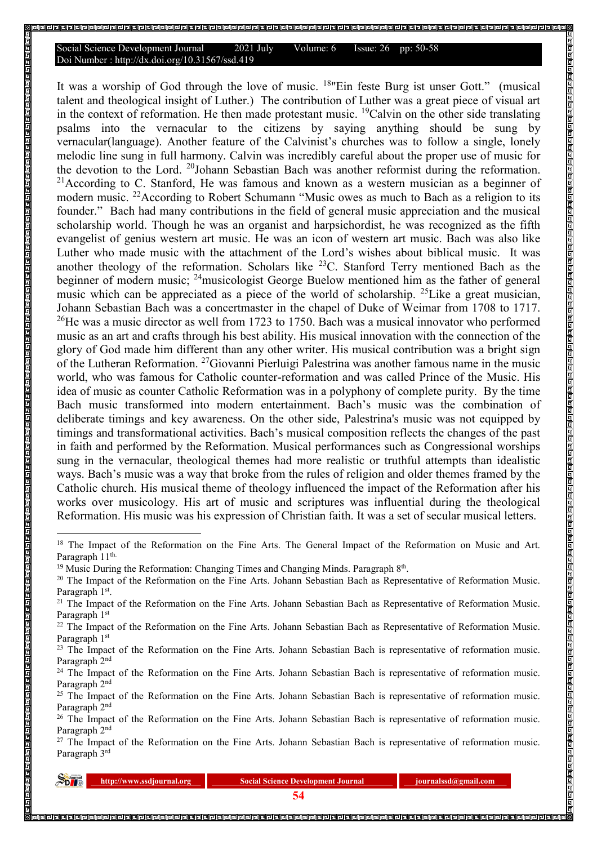It was a worship of God through the love of music. <sup>18</sup>"Ein feste Burg ist unser Gott." (musical talent and theological insight of Luther.) The contribution of Luther was a great piece of visual art in the context of reformation. He then made protestant music. <sup>19</sup>Calvin on the other side translating psalms into the vernacular to the citizens by saying anything should be sung by vernacular(language). Another feature of the Calvinist's churches was to follow a single, lonely melodic line sung in full harmony. Calvin was incredibly careful about the proper use of music for the devotion to the Lord. <sup>20</sup>Johann Sebastian Bach was another reformist during the reformation.  $^{21}$ According to C. Stanford, He was famous and known as a western musician as a beginner of modern music. <sup>22</sup>According to Robert Schumann "Music owes as much to Bach as a religion to its founder." Bach had many contributions in the field of general music appreciation and the musical scholarship world. Though he was an organist and harpsichordist, he was recognized as the fifth evangelist of genius western art music. He was an icon of western art music. Bach was also like Luther who made music with the attachment of the Lord's wishes about biblical music. It was another theology of the reformation. Scholars like <sup>23</sup>C. Stanford Terry mentioned Bach as the beginner of modern music; <sup>24</sup>musicologist George Buelow mentioned him as the father of general music which can be appreciated as a piece of the world of scholarship. <sup>25</sup>Like a great musician, Johann Sebastian Bach was a concertmaster in the chapel of Duke of Weimar from 1708 to 1717.  $^{26}$ He was a music director as well from 1723 to 1750. Bach was a musical innovator who performed music as an art and crafts through his best ability. His musical innovation with the connection of the glory of God made him different than any other writer. His musical contribution was a bright sign of the Lutheran Reformation. <sup>27</sup>Giovanni Pierluigi Palestrina was another famous name in the music world, who was famous for Catholic counter-reformation and was called Prince of the Music. His idea of music as counter Catholic Reformation was in a polyphony of complete purity. By the time Bach music transformed into modern entertainment. Bach's music was the combination of deliberate timings and key awareness. On the other side, Palestrina's music was not equipped by timings and transformational activities. Bach's musical composition reflects the changes of the past in faith and performed by the Reformation. Musical performances such as Congressional worships sung in the vernacular, theological themes had more realistic or truthful attempts than idealistic ways. Bach's music was a way that broke from the rules of religion and older themes framed by the Catholic church. His musical theme of theology influenced the impact of the Reformation after his works over musicology. His art of music and scriptures was influential during the theological Reformation. His music was his expression of Christian faith. It was a set of secular musical letters.

<sup>&</sup>lt;sup>27</sup> The Impact of the Reformation on the Fine Arts. Johann Sebastian Bach is representative of reformation music. Paragraph 3rd

| $\sum_{D}$ | http://www.ssdjournal.org | <b>Social Science Development Journal</b> | journalssd@gmail.com |  |
|------------|---------------------------|-------------------------------------------|----------------------|--|
|            |                           |                                           |                      |  |

 $\overline{a}$ 

<sup>&</sup>lt;sup>18</sup> The Impact of the Reformation on the Fine Arts. The General Impact of the Reformation on Music and Art. Paragraph 11<sup>th.</sup>

 $19$  Music During the Reformation: Changing Times and Changing Minds. Paragraph  $8<sup>th</sup>$ .

<sup>&</sup>lt;sup>20</sup> The Impact of the Reformation on the Fine Arts. Johann Sebastian Bach as Representative of Reformation Music. Paragraph 1<sup>st</sup>.

<sup>&</sup>lt;sup>21</sup> The Impact of the Reformation on the Fine Arts. Johann Sebastian Bach as Representative of Reformation Music. Paragraph 1st

<sup>&</sup>lt;sup>22</sup> The Impact of the Reformation on the Fine Arts. Johann Sebastian Bach as Representative of Reformation Music. Paragraph 1st

<sup>&</sup>lt;sup>23</sup> The Impact of the Reformation on the Fine Arts. Johann Sebastian Bach is representative of reformation music. Paragraph 2<sup>nd</sup>

<sup>&</sup>lt;sup>24</sup> The Impact of the Reformation on the Fine Arts. Johann Sebastian Bach is representative of reformation music. Paragraph 2nd

<sup>&</sup>lt;sup>25</sup> The Impact of the Reformation on the Fine Arts. Johann Sebastian Bach is representative of reformation music. Paragraph<sup>2nd</sup>

<sup>&</sup>lt;sup>26</sup> The Impact of the Reformation on the Fine Arts. Johann Sebastian Bach is representative of reformation music. Paragraph 2nd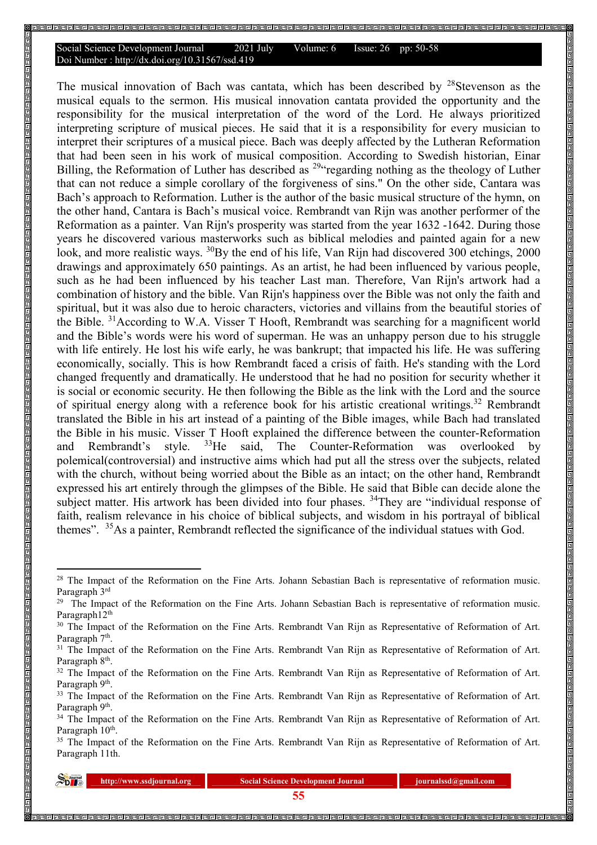The musical innovation of Bach was cantata, which has been described by  $28$ Stevenson as the musical equals to the sermon. His musical innovation cantata provided the opportunity and the responsibility for the musical interpretation of the word of the Lord. He always prioritized interpreting scripture of musical pieces. He said that it is a responsibility for every musician to interpret their scriptures of a musical piece. Bach was deeply affected by the Lutheran Reformation that had been seen in his work of musical composition. According to Swedish historian, Einar Billing, the Reformation of Luther has described as <sup>294</sup> regarding nothing as the theology of Luther that can not reduce a simple corollary of the forgiveness of sins." On the other side, Cantara was Bach's approach to Reformation. Luther is the author of the basic musical structure of the hymn, on the other hand, Cantara is Bach's musical voice. Rembrandt van Rijn was another performer of the Reformation as a painter. Van Rijn's prosperity was started from the year 1632 -1642. During those years he discovered various masterworks such as biblical melodies and painted again for a new look, and more realistic ways. <sup>30</sup>By the end of his life, Van Rijn had discovered 300 etchings, 2000 drawings and approximately 650 paintings. As an artist, he had been influenced by various people, such as he had been influenced by his teacher Last man. Therefore, Van Rijn's artwork had a combination of history and the bible. Van Rijn's happiness over the Bible was not only the faith and spiritual, but it was also due to heroic characters, victories and villains from the beautiful stories of the Bible.  $31$  According to W.A. Visser T Hooft, Rembrandt was searching for a magnificent world and the Bible's words were his word of superman. He was an unhappy person due to his struggle with life entirely. He lost his wife early, he was bankrupt; that impacted his life. He was suffering economically, socially. This is how Rembrandt faced a crisis of faith. He's standing with the Lord changed frequently and dramatically. He understood that he had no position for security whether it is social or economic security. He then following the Bible as the link with the Lord and the source of spiritual energy along with a reference book for his artistic creational writings.<sup>32</sup> Rembrandt translated the Bible in his art instead of a painting of the Bible images, while Bach had translated the Bible in his music. Visser T Hooft explained the difference between the counter-Reformation<br>and Rembrandt's style. <sup>33</sup>He said, The Counter-Reformation was overlooked by and Rembrandt's style. <sup>33</sup>He said, The Counter-Reformation was overlooked by polemical(controversial) and instructive aims which had put all the stress over the subjects, related with the church, without being worried about the Bible as an intact; on the other hand, Rembrandt expressed his art entirely through the glimpses of the Bible. He said that Bible can decide alone the subject matter. His artwork has been divided into four phases. <sup>34</sup>They are "individual response of faith, realism relevance in his choice of biblical subjects, and wisdom in his portrayal of biblical themes". <sup>35</sup>As a painter, Rembrandt reflected the significance of the individual statues with God.

<sup>&</sup>lt;sup>35</sup> The Impact of the Reformation on the Fine Arts. Rembrandt Van Rijn as Representative of Reformation of Art. Paragraph 11th.

| $\sum_{\text{D}}^{\text{Journal}}$ | http://www.ssdjournal.org | <b>Social Science Development Journal</b> |  |
|------------------------------------|---------------------------|-------------------------------------------|--|
|                                    |                           |                                           |  |

 $\overline{a}$ 

<sup>&</sup>lt;sup>28</sup> The Impact of the Reformation on the Fine Arts. Johann Sebastian Bach is representative of reformation music. Paragraph 3<sup>rd</sup>

<sup>&</sup>lt;sup>29</sup> The Impact of the Reformation on the Fine Arts. Johann Sebastian Bach is representative of reformation music. Paragraph12<sup>th</sup>

<sup>&</sup>lt;sup>30</sup> The Impact of the Reformation on the Fine Arts. Rembrandt Van Rijn as Representative of Reformation of Art. Paragraph 7<sup>th</sup>.

<sup>&</sup>lt;sup>31</sup> The Impact of the Reformation on the Fine Arts. Rembrandt Van Rijn as Representative of Reformation of Art. Paragraph 8<sup>th</sup>.

<sup>&</sup>lt;sup>32</sup> The Impact of the Reformation on the Fine Arts. Rembrandt Van Rijn as Representative of Reformation of Art. Paragraph 9<sup>th</sup>.

<sup>&</sup>lt;sup>33</sup> The Impact of the Reformation on the Fine Arts. Rembrandt Van Rijn as Representative of Reformation of Art. Paragraph 9<sup>th</sup>.

<sup>&</sup>lt;sup>34</sup> The Impact of the Reformation on the Fine Arts. Rembrandt Van Rijn as Representative of Reformation of Art. Paragraph 10<sup>th</sup>.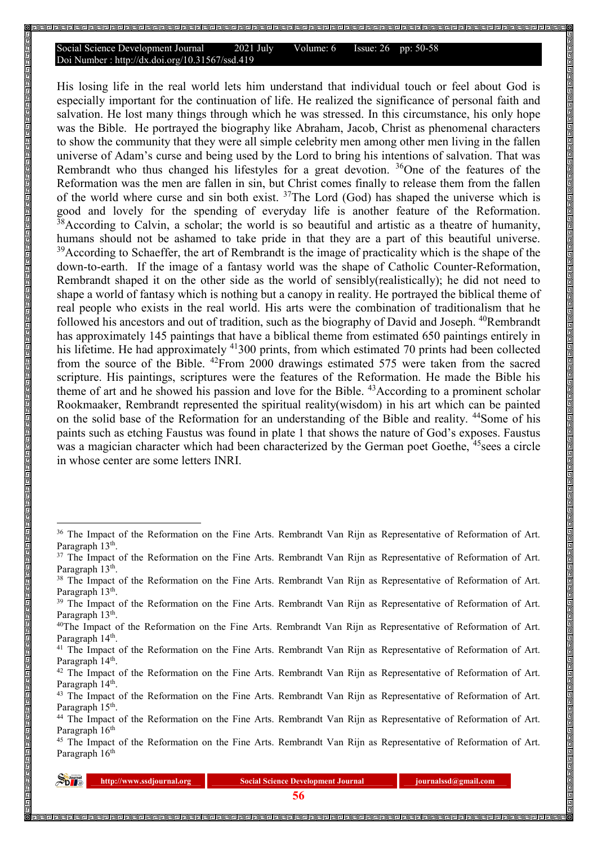His losing life in the real world lets him understand that individual touch or feel about God is especially important for the continuation of life. He realized the significance of personal faith and salvation. He lost many things through which he was stressed. In this circumstance, his only hope was the Bible. He portrayed the biography like Abraham, Jacob, Christ as phenomenal characters to show the community that they were all simple celebrity men among other men living in the fallen universe of Adam's curse and being used by the Lord to bring his intentions of salvation. That was Rembrandt who thus changed his lifestyles for a great devotion. <sup>36</sup>One of the features of the Reformation was the men are fallen in sin, but Christ comes finally to release them from the fallen of the world where curse and sin both exist.  $37$ The Lord (God) has shaped the universe which is good and lovely for the spending of everyday life is another feature of the Reformation. <sup>38</sup>According to Calvin, a scholar; the world is so beautiful and artistic as a theatre of humanity, humans should not be ashamed to take pride in that they are a part of this beautiful universe. <sup>39</sup>According to Schaeffer, the art of Rembrandt is the image of practicality which is the shape of the down-to-earth. If the image of a fantasy world was the shape of Catholic Counter-Reformation, Rembrandt shaped it on the other side as the world of sensibly(realistically); he did not need to shape a world of fantasy which is nothing but a canopy in reality. He portrayed the biblical theme of real people who exists in the real world. His arts were the combination of traditionalism that he followed his ancestors and out of tradition, such as the biography of David and Joseph. <sup>40</sup>Rembrandt has approximately 145 paintings that have a biblical theme from estimated 650 paintings entirely in his lifetime. He had approximately <sup>41</sup>300 prints, from which estimated 70 prints had been collected from the source of the Bible.  $42$ From 2000 drawings estimated 575 were taken from the sacred scripture. His paintings, scriptures were the features of the Reformation. He made the Bible his theme of art and he showed his passion and love for the Bible. <sup>43</sup>According to a prominent scholar Rookmaaker, Rembrandt represented the spiritual reality(wisdom) in his art which can be painted on the solid base of the Reformation for an understanding of the Bible and reality. <sup>44</sup>Some of his paints such as etching Faustus was found in plate 1 that shows the nature of God's exposes. Faustus was a magician character which had been characterized by the German poet Goethe, <sup>45</sup>sees a circle in whose center are some letters INRI.

<sup>&</sup>lt;sup>45</sup> The Impact of the Reformation on the Fine Arts. Rembrandt Van Rijn as Representative of Reformation of Art. Paragraph 16<sup>th</sup>

| <b>Lournal</b><br>$\infty$ D $\mathbb{R}$ | http://www.ss |
|-------------------------------------------|---------------|
|                                           |               |

 $\overline{a}$ 

**http://www.ssdipurnal.org | Social Science Development Journal integration is a set of position of the social Science Development Journal is a set of position of the social Science Development Journal is a set of position** 

<sup>&</sup>lt;sup>36</sup> The Impact of the Reformation on the Fine Arts. Rembrandt Van Rijn as Representative of Reformation of Art. Paragraph 13<sup>th</sup>.

<sup>&</sup>lt;sup>37</sup> The Impact of the Reformation on the Fine Arts. Rembrandt Van Rijn as Representative of Reformation of Art. Paragraph 13<sup>th</sup>.

<sup>&</sup>lt;sup>38</sup> The Impact of the Reformation on the Fine Arts. Rembrandt Van Rijn as Representative of Reformation of Art. Paragraph 13<sup>th</sup>.

<sup>&</sup>lt;sup>39</sup> The Impact of the Reformation on the Fine Arts. Rembrandt Van Rijn as Representative of Reformation of Art. Paragraph 13<sup>th</sup>.

<sup>&</sup>lt;sup>40</sup>The Impact of the Reformation on the Fine Arts. Rembrandt Van Rijn as Representative of Reformation of Art. Paragraph 14<sup>th</sup>.

<sup>&</sup>lt;sup>41</sup> The Impact of the Reformation on the Fine Arts. Rembrandt Van Rijn as Representative of Reformation of Art. Paragraph 14<sup>th</sup>.

<sup>&</sup>lt;sup>42</sup> The Impact of the Reformation on the Fine Arts. Rembrandt Van Rijn as Representative of Reformation of Art. Paragraph 14<sup>th</sup>.

<sup>&</sup>lt;sup>43</sup> The Impact of the Reformation on the Fine Arts. Rembrandt Van Rijn as Representative of Reformation of Art. Paragraph 15<sup>th</sup>.

<sup>&</sup>lt;sup>44</sup> The Impact of the Reformation on the Fine Arts. Rembrandt Van Rijn as Representative of Reformation of Art. Paragraph 16<sup>th</sup>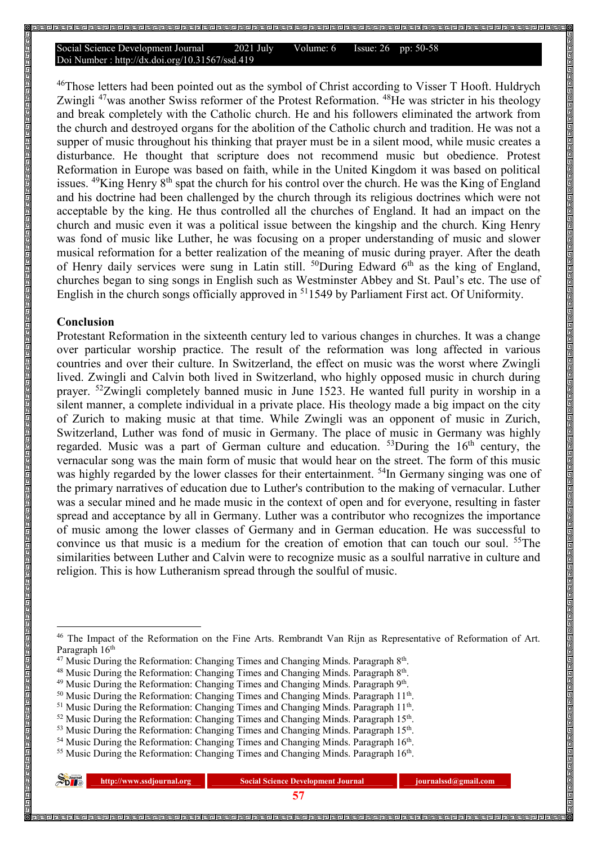<sup>46</sup>Those letters had been pointed out as the symbol of Christ according to Visser T Hooft. Huldrych Zwingli<sup>47</sup>was another Swiss reformer of the Protest Reformation.<sup>48</sup>He was stricter in his theology and break completely with the Catholic church. He and his followers eliminated the artwork from the church and destroyed organs for the abolition of the Catholic church and tradition. He was not a supper of music throughout his thinking that prayer must be in a silent mood, while music creates a disturbance. He thought that scripture does not recommend music but obedience. Protest Reformation in Europe was based on faith, while in the United Kingdom it was based on political issues.  $^{49}$ King Henry  $8^{th}$  spat the church for his control over the church. He was the King of England and his doctrine had been challenged by the church through its religious doctrines which were not acceptable by the king. He thus controlled all the churches of England. It had an impact on the church and music even it was a political issue between the kingship and the church. King Henry was fond of music like Luther, he was focusing on a proper understanding of music and slower musical reformation for a better realization of the meaning of music during prayer. After the death of Henry daily services were sung in Latin still.  $^{50}$ During Edward 6<sup>th</sup> as the king of England, churches began to sing songs in English such as Westminster Abbey and St. Paul's etc. The use of English in the church songs officially approved in <sup>51</sup>1549 by Parliament First act. Of Uniformity.

#### **Conclusion**

Protestant Reformation in the sixteenth century led to various changes in churches. It was a change over particular worship practice. The result of the reformation was long affected in various countries and over their culture. In Switzerland, the effect on music was the worst where Zwingli lived. Zwingli and Calvin both lived in Switzerland, who highly opposed music in church during prayer. <sup>52</sup>Zwingli completely banned music in June 1523. He wanted full purity in worship in a silent manner, a complete individual in a private place. His theology made a big impact on the city of Zurich to making music at that time. While Zwingli was an opponent of music in Zurich, Switzerland, Luther was fond of music in Germany. The place of music in Germany was highly regarded. Music was a part of German culture and education.  $53$  During the 16<sup>th</sup> century, the vernacular song was the main form of music that would hear on the street. The form of this music was highly regarded by the lower classes for their entertainment. <sup>54</sup>In Germany singing was one of the primary narratives of education due to Luther's contribution to the making of vernacular. Luther was a secular mined and he made music in the context of open and for everyone, resulting in faster spread and acceptance by all in Germany. Luther was a contributor who recognizes the importance of music among the lower classes of Germany and in German education. He was successful to convince us that music is a medium for the creation of emotion that can touch our soul. <sup>55</sup>The similarities between Luther and Calvin were to recognize music as a soulful narrative in culture and religion. This is how Lutheranism spread through the soulful of music.

| $\sum_{D}$ Journal | http://www.ssdjournal.org | <b>Social Science Development Journal</b> | journalssd@gmail.com |
|--------------------|---------------------------|-------------------------------------------|----------------------|
|                    |                           |                                           |                      |

 $\overline{a}$ 

<sup>&</sup>lt;sup>46</sup> The Impact of the Reformation on the Fine Arts. Rembrandt Van Rijn as Representative of Reformation of Art. Paragraph 16<sup>th</sup>

 $47$  Music During the Reformation: Changing Times and Changing Minds. Paragraph  $8<sup>th</sup>$ .

<sup>&</sup>lt;sup>48</sup> Music During the Reformation: Changing Times and Changing Minds. Paragraph 8<sup>th</sup>.

<sup>&</sup>lt;sup>49</sup> Music During the Reformation: Changing Times and Changing Minds. Paragraph 9<sup>th</sup>.

<sup>&</sup>lt;sup>50</sup> Music During the Reformation: Changing Times and Changing Minds. Paragraph 11<sup>th</sup>.

 $51$  Music During the Reformation: Changing Times and Changing Minds. Paragraph  $11<sup>th</sup>$ .

 $52$  Music During the Reformation: Changing Times and Changing Minds. Paragraph 15<sup>th</sup>.

 $53$  Music During the Reformation: Changing Times and Changing Minds. Paragraph 15<sup>th</sup>.

<sup>&</sup>lt;sup>54</sup> Music During the Reformation: Changing Times and Changing Minds. Paragraph 16<sup>th</sup>.

<sup>&</sup>lt;sup>55</sup> Music During the Reformation: Changing Times and Changing Minds. Paragraph 16<sup>th</sup>.